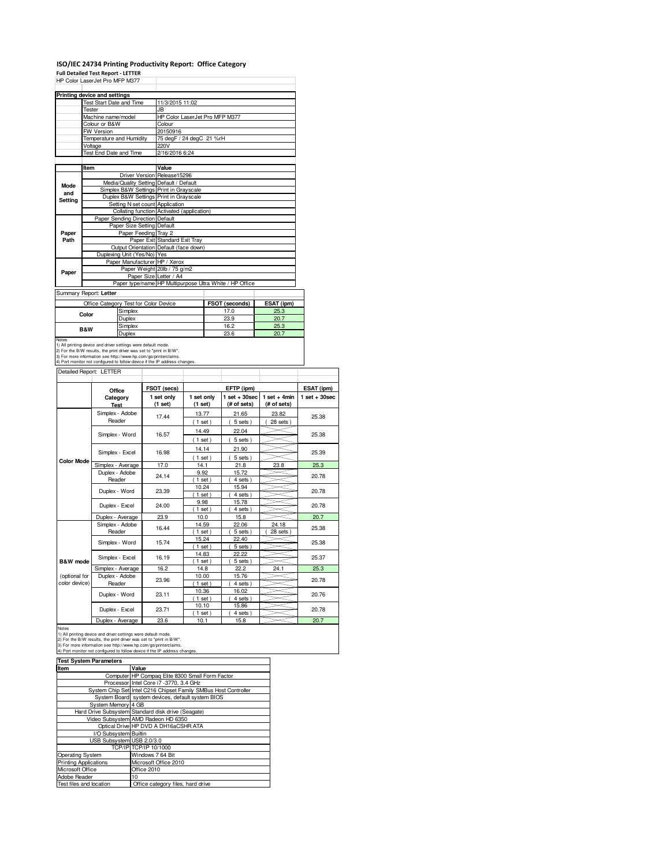#### **ISO/IEC 24734 Printing Productivity Report: Office Category Full Detailed Test Report - LETTER**

| <b>FUII DELAIIEU TESL NEDUIT - LETTEN</b> |         |                           |                          |                                                                                                                                                                                                                                                                                       |                   |          |                       |                |                  |
|-------------------------------------------|---------|---------------------------|--------------------------|---------------------------------------------------------------------------------------------------------------------------------------------------------------------------------------------------------------------------------------------------------------------------------------|-------------------|----------|-----------------------|----------------|------------------|
| HP Color LaserJet Pro MFP M377            |         |                           |                          |                                                                                                                                                                                                                                                                                       |                   |          |                       |                |                  |
| Printing device and settings              |         |                           |                          |                                                                                                                                                                                                                                                                                       |                   |          |                       |                |                  |
|                                           |         |                           | Test Start Date and Time | 11/3/2015 11:02                                                                                                                                                                                                                                                                       |                   |          |                       |                |                  |
|                                           | Tester  |                           |                          | JB.                                                                                                                                                                                                                                                                                   |                   |          |                       |                |                  |
|                                           |         | Machine name/model        |                          | HP Color LaserJet Pro MFP M377                                                                                                                                                                                                                                                        |                   |          |                       |                |                  |
|                                           |         | Colour or B&W             |                          | Colour                                                                                                                                                                                                                                                                                |                   |          |                       |                |                  |
|                                           |         | FW Version                |                          | 20150916                                                                                                                                                                                                                                                                              |                   |          |                       |                |                  |
|                                           |         |                           | Temperature and Humidity | 75 degF / 24 degC 21 %rH                                                                                                                                                                                                                                                              |                   |          |                       |                |                  |
|                                           | Voltage |                           | Test End Date and Time   | 220V<br>2/16/2016 6:24                                                                                                                                                                                                                                                                |                   |          |                       |                |                  |
|                                           |         |                           |                          |                                                                                                                                                                                                                                                                                       |                   |          |                       |                |                  |
|                                           | Item    |                           |                          | Value                                                                                                                                                                                                                                                                                 |                   |          |                       |                |                  |
|                                           |         |                           |                          | Driver Version Release15296                                                                                                                                                                                                                                                           |                   |          |                       |                |                  |
| Mode                                      |         |                           |                          | Media/Quality Setting Default / Default                                                                                                                                                                                                                                               |                   |          |                       |                |                  |
| and                                       |         |                           |                          | Simplex B&W Settings Print in Grayscale                                                                                                                                                                                                                                               |                   |          |                       |                |                  |
| <b>Setting</b>                            |         |                           |                          | Duplex B&W Settings Print in Grayscale                                                                                                                                                                                                                                                |                   |          |                       |                |                  |
|                                           |         |                           |                          | Setting N set count Application                                                                                                                                                                                                                                                       |                   |          |                       |                |                  |
|                                           |         |                           |                          | Collating function Activated (application)                                                                                                                                                                                                                                            |                   |          |                       |                |                  |
|                                           |         |                           |                          | Paper Sending Direction Default<br>Paper Size Setting Default                                                                                                                                                                                                                         |                   |          |                       |                |                  |
| Paper                                     |         |                           |                          | Paper Feeding Tray 2                                                                                                                                                                                                                                                                  |                   |          |                       |                |                  |
| Path                                      |         |                           |                          | Paper Exit Standard Exit Tray                                                                                                                                                                                                                                                         |                   |          |                       |                |                  |
|                                           |         |                           |                          | Output Orientation Default (face down)                                                                                                                                                                                                                                                |                   |          |                       |                |                  |
|                                           |         |                           |                          | Duplexing Unit (Yes/No) Yes                                                                                                                                                                                                                                                           |                   |          |                       |                |                  |
|                                           |         |                           |                          | Paper Manufacturer HP / Xerox                                                                                                                                                                                                                                                         |                   |          |                       |                |                  |
| Paper                                     |         |                           |                          | Paper Weight 20lb / 75 g/m2                                                                                                                                                                                                                                                           |                   |          |                       |                |                  |
|                                           |         |                           |                          | Paper Size Letter / A4                                                                                                                                                                                                                                                                |                   |          |                       |                |                  |
|                                           |         |                           |                          | Paper type/name HP Multipurpose Ultra White / HP Office                                                                                                                                                                                                                               |                   |          |                       |                |                  |
| Summary Report: Letter                    |         |                           |                          |                                                                                                                                                                                                                                                                                       |                   |          |                       |                |                  |
|                                           |         |                           |                          | Office Category Test for Color Device                                                                                                                                                                                                                                                 |                   |          | FSOT (seconds)        | ESAT (ipm)     |                  |
|                                           | Color   |                           | Simplex                  |                                                                                                                                                                                                                                                                                       |                   |          | 17.0                  | 25.3           |                  |
|                                           |         |                           | Duplex                   |                                                                                                                                                                                                                                                                                       |                   |          | 23.9                  | 20.7           |                  |
|                                           | B&W     |                           | Simplex                  |                                                                                                                                                                                                                                                                                       |                   |          | 16.2                  | 25.3           |                  |
| Notes                                     |         |                           | Duplex                   |                                                                                                                                                                                                                                                                                       |                   |          | 23.6                  | 20.7           |                  |
|                                           |         |                           |                          | 1) All printing device and driver settings were default mode.<br>2) For the B/W results, the print driver was set to "print in B/W".<br>3) For more information see http://www.hp.com/go/printerclaims.<br>4) Port monitor not configured to follow device if the IP address changes. |                   |          |                       |                |                  |
| Detailed Report: LETTER                   |         |                           |                          |                                                                                                                                                                                                                                                                                       |                   |          |                       |                |                  |
|                                           |         |                           |                          |                                                                                                                                                                                                                                                                                       |                   |          |                       |                |                  |
|                                           |         | Office                    |                          | FSOT (secs)                                                                                                                                                                                                                                                                           |                   |          | EFTP (ipm)            |                | ESAT (ipm)       |
|                                           |         | Category                  |                          | 1 set only                                                                                                                                                                                                                                                                            | 1 set only        |          | $1$ set $+30$ sec     | $1 set + 4min$ | $1 set + 30 sec$ |
|                                           |         | Test                      |                          | (1 set)                                                                                                                                                                                                                                                                               | (1 set)           |          | (# of sets)           | (# of sets)    |                  |
|                                           |         | Simplex - Adobe<br>Reader |                          | 17.44                                                                                                                                                                                                                                                                                 | 13.77             |          | 21.65                 | 23.82          | 25.38            |
|                                           |         |                           |                          |                                                                                                                                                                                                                                                                                       | $(1$ set)         |          | (5 sets)              | 28 sets        |                  |
|                                           |         | Simplex - Word            |                          | 16.57                                                                                                                                                                                                                                                                                 | 14.49             |          | 22.04                 |                | 25.38            |
|                                           |         |                           |                          |                                                                                                                                                                                                                                                                                       | (1 set)           |          | 5 sets)               |                |                  |
|                                           |         | Simplex - Excel           |                          | 16.98                                                                                                                                                                                                                                                                                 | 14.14             |          | 21.90                 |                | 25.39            |
| <b>Color Mode</b>                         |         |                           |                          |                                                                                                                                                                                                                                                                                       |                   | $1$ set) | 5 sets)               |                |                  |
|                                           |         | Simplex - Average         |                          | 17.0                                                                                                                                                                                                                                                                                  | 14.1              |          | 21.8                  | 23.8           | 25.3             |
|                                           |         | Duplex - Adobe            |                          | 24.14                                                                                                                                                                                                                                                                                 | 9.92              |          | 15.72                 |                | 20.78            |
|                                           |         | Reader                    |                          |                                                                                                                                                                                                                                                                                       | (1 set)           |          | 4 sets)               |                |                  |
|                                           |         | Duplex - Word             |                          | 23.39                                                                                                                                                                                                                                                                                 | 10.24             |          | 15.94                 |                | 20.78            |
|                                           |         |                           |                          |                                                                                                                                                                                                                                                                                       | $(1$ set)         |          | 4 sets                |                |                  |
|                                           |         | Duplex - Excel            |                          | 24.00                                                                                                                                                                                                                                                                                 | 9.98<br>$(1$ set) |          | 15.78<br>4 sets)<br>C |                | 20.78            |
|                                           |         |                           |                          |                                                                                                                                                                                                                                                                                       |                   |          |                       |                |                  |

|               |                   |                                                                  | v.vv                    | .0.10  |               |       |  |
|---------------|-------------------|------------------------------------------------------------------|-------------------------|--------|---------------|-------|--|
|               | Duplex - Excel    | 24.00                                                            | $1$ set                 | 4 sets |               | 20.78 |  |
|               | Duplex - Average  | 23.9                                                             | 10.0                    | 15.8   |               | 20.7  |  |
|               | Simplex - Adobe   | 16.44                                                            | 14.59                   | 22.06  | 24.18         | 25.38 |  |
|               | Reader            |                                                                  | $1$ set)                | 5 sets | $28$ sets $)$ |       |  |
|               | Simplex - Word    | 15.74                                                            | 15.24                   | 22.40  |               | 25.38 |  |
|               |                   |                                                                  | $1$ set $)$             | 5 sets |               |       |  |
|               |                   | 22.22<br>14.83<br>16.19<br>Simplex - Excel<br>5 sets<br>$1$ set) |                         |        |               | 25.37 |  |
| B&W mode      |                   |                                                                  |                         |        |               |       |  |
|               | Simplex - Average | 16.2                                                             | 14.8                    | 22.2   | 24.1          | 25.3  |  |
| (optional for | Duplex - Adobe    | 23.96                                                            | 10.00                   | 15.76  |               | 20.78 |  |
| color device) | Reader            |                                                                  | $1$ set)                | 4 sets |               |       |  |
|               | Duplex - Word     | 23.11                                                            | 10.36                   | 16.02  |               | 20.76 |  |
|               |                   |                                                                  | $1$ set)                | 4 sets |               |       |  |
|               | Duplex - Excel    | 23.71                                                            | 15.86<br>10.10<br>20.78 |        |               |       |  |
|               |                   |                                                                  | $1$ set)                | 4 sets |               |       |  |
|               | Duplex - Average  | 23.6                                                             | 10.1                    | 15.8   |               | 20.7  |  |

Notes<br>1) All printing device and driver settings were default mode.<br>2) For the B/W results, the print driver was set to "print in B/W".<br>3) For more information see http://www.hp.com/go/printerclaims.<br>4) Port monitor not co

| <b>Test System Parameters</b> |                                                                 |
|-------------------------------|-----------------------------------------------------------------|
| Item                          | Value                                                           |
|                               | Computer HP Compag Elite 8300 Small Form Factor                 |
|                               | Processor Intel Core i7 -3770, 3.4 GHz                          |
|                               | System Chip Set Intel C216 Chipset Family SMBus Host Controller |
|                               | System Board system devices, default system BIOS                |
| System Memory 4 GB            |                                                                 |
|                               | Hard Drive Subsystem Standard disk drive (Seagate)              |
|                               | Video Subsystem AMD Radeon HD 6350                              |
|                               | Optical Drive HP DVD A DH16aCSHR ATA                            |
| I/O Subsystem Builtin         |                                                                 |
| USB Subsystem USB 2.0/3.0     |                                                                 |
|                               | TCP/IP TCP/IP 10/1000                                           |
| Operating System              | Windows 7 64 Bit                                                |
| <b>Printing Applications</b>  | Microsoft Office 2010                                           |
| Microsoft Office              | Office 2010                                                     |
| Adobe Reader                  | 10                                                              |
| Test files and location       | Office category files, hard drive                               |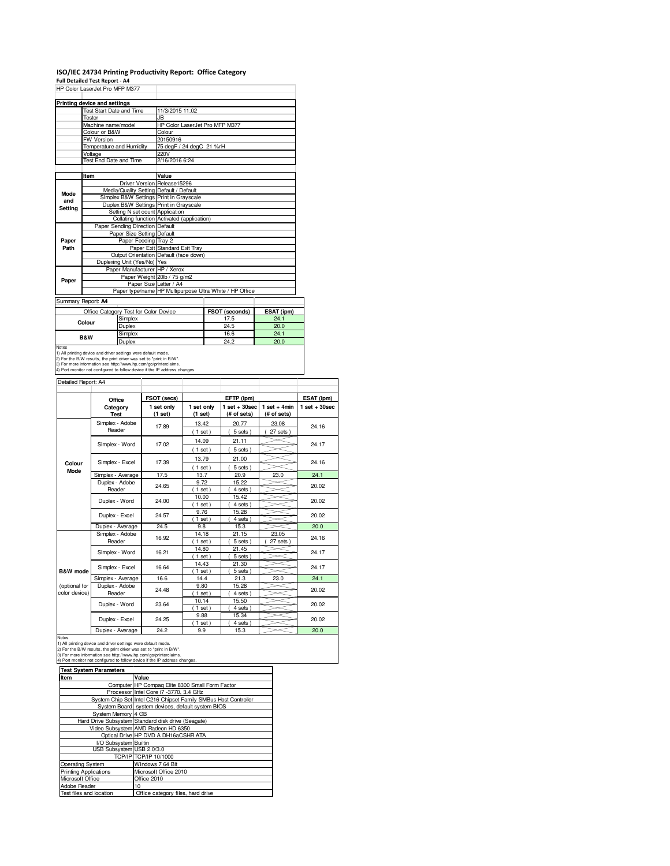# **ISO/IEC 24734 Printing Productivity Report: Office Category Full Detailed Test Report - A4** HP Color LaserJet Pro MFP M377

|                | Printing device and settings |                                       |                                                         |                |            |
|----------------|------------------------------|---------------------------------------|---------------------------------------------------------|----------------|------------|
|                | Test Start Date and Time     |                                       | 11/3/2015 11:02                                         |                |            |
|                | Tester                       |                                       | JB                                                      |                |            |
|                | Machine name/model           |                                       | HP Color LaserJet Pro MFP M377                          |                |            |
|                | Colour or B&W                |                                       | Colour                                                  |                |            |
|                | <b>FW Version</b>            |                                       | 20150916                                                |                |            |
|                | Temperature and Humidity     |                                       | 75 degF / 24 degC 21 %rH                                |                |            |
|                | Voltage                      |                                       | 220V                                                    |                |            |
|                | Test End Date and Time       |                                       | 2/16/2016 6:24                                          |                |            |
|                | Item                         |                                       | Value                                                   |                |            |
|                |                              |                                       | Driver Version Release15296                             |                |            |
|                |                              |                                       | Media/Quality Setting Default / Default                 |                |            |
| Mode           |                              |                                       | Simplex B&W Settings Print in Grayscale                 |                |            |
| and            |                              |                                       | Duplex B&W Settings Print in Grayscale                  |                |            |
| Setting        |                              | Setting N set count Application       |                                                         |                |            |
|                |                              |                                       | Collating function Activated (application)              |                |            |
|                |                              | Paper Sending Direction Default       |                                                         |                |            |
|                |                              | Paper Size Setting Default            |                                                         |                |            |
| Paper          |                              | Paper Feeding Tray 2                  |                                                         |                |            |
| Path           |                              |                                       | Paper Exit Standard Exit Tray                           |                |            |
|                |                              |                                       | Output Orientation Default (face down)                  |                |            |
|                |                              | Duplexing Unit (Yes/No) Yes           |                                                         |                |            |
|                |                              | Paper Manufacturer HP / Xerox         |                                                         |                |            |
|                |                              |                                       | Paper Weight 20lb / 75 g/m2                             |                |            |
| Paper          |                              |                                       | Paper Size Letter / A4                                  |                |            |
|                |                              |                                       | Paper type/name HP Multipurpose Ultra White / HP Office |                |            |
|                | Summary Report: A4           |                                       |                                                         |                |            |
|                |                              | Office Category Test for Color Device |                                                         | FSOT (seconds) | ESAT (ipm) |
|                | Colour                       | Simplex                               |                                                         | 17.5           | 24.1       |
|                |                              | Duplex                                |                                                         | 24.5           | 20.0       |
|                |                              | Simplex                               |                                                         | 16.6           | 24.1       |
| <b>B&amp;W</b> |                              | Duplex                                |                                                         | 24.2           | 20.0       |

Duplex 24.2 20.0<br>
20.0<br>
2) For the B/W results, the print direct was set to "print in B/W".<br>
2) For the B/W results, the print direct was set to "print in B/W".<br>
3) For moe information see thtp://www.hp.com/go/printerclaim

| Detailed Report: A4 |                                     |                       |                       |                                  |                               |                   |
|---------------------|-------------------------------------|-----------------------|-----------------------|----------------------------------|-------------------------------|-------------------|
|                     | Office                              | FSOT (secs)           |                       | EFTP (ipm)                       |                               | ESAT (ipm)        |
|                     | Category<br>Test                    | 1 set only<br>(1 set) | 1 set only<br>(1 set) | $1$ set $+30$ sec<br>(# of sets) | $1$ set + 4min<br>(# of sets) | $1$ set $+30$ sec |
|                     | Simplex - Adobe                     | 17.89                 | 13.42                 | 20.77                            | 23.08                         | 24.16             |
|                     | Reader                              |                       | (1 set)               | 5 sets)                          | 27 sets                       |                   |
|                     | Simplex - Word                      | 17.02                 | 14.09                 | 21.11                            |                               | 24.17             |
|                     |                                     |                       | $1$ set)              | 5 sets)                          |                               |                   |
|                     | Simplex - Excel                     | 17.39                 | 13.79                 | 21.00                            |                               | 24.16             |
| Colour<br>Mode      |                                     |                       | $1$ set $)$           | $5 sets$ )                       |                               |                   |
|                     | Simplex - Average                   | 17.5                  | 13.7                  | 20.9                             | 23.0                          | 24.1              |
|                     | Duplex - Adobe                      | 24.65                 | 9.72                  | 15.22                            |                               | 20.02             |
|                     | Reader                              |                       | $1$ set)              | 4 sets)                          |                               |                   |
|                     | Duplex - Word                       | 24.00                 |                       | 15.42                            |                               | 20.02             |
|                     |                                     |                       | $1$ set)              | 4 sets)                          |                               |                   |
|                     | Duplex - Excel<br>24.57             | 9.76                  | 15.28                 |                                  | 20.02                         |                   |
|                     |                                     |                       | $1$ set)              | 4 sets)                          |                               |                   |
|                     | Duplex - Average                    | 24.5                  | 9.8                   | 15.3                             |                               | 20.0              |
|                     | Simplex - Adobe                     | 16.92                 | 14.18                 | 21.15                            | 23.05                         | 24.16             |
|                     | Reader                              |                       | $1$ set)              | 5 sets)                          | 27 sets                       |                   |
|                     | Simplex - Word                      | 16.21                 | 14.80                 | 21.45                            |                               | 24.17             |
|                     |                                     |                       | $1$ set)              | 5 sets)                          |                               |                   |
|                     | Simplex - Excel                     | 16.64                 | 14.43                 | 21.30<br>$5 sets$ )              |                               | 24.17             |
| B&W mode            |                                     | 16.6                  | $1$ set)<br>14.4      | 21.3                             | 23.0                          | 24.1              |
| (optional for       | Simplex - Average<br>Duplex - Adobe |                       | 9.80                  | 15.28                            |                               |                   |
| color device)       | Reader                              | 24.48                 | $1$ set)              | 4 sets)                          |                               | 20.02             |
|                     |                                     |                       | 10.14                 | 15.50                            |                               |                   |
|                     | Duplex - Word                       | 23.64                 | $1$ set)              | 4 sets)                          |                               | 20.02             |
|                     |                                     |                       | 9.88                  | 15.34                            |                               |                   |
|                     | Duplex - Excel                      | 24.25                 | $1$ set)              | 4 sets)                          |                               | 20.02             |
|                     | Dominic Acompany                    | 040                   | $\sim$ $\sim$         | $+En$                            |                               | 000               |

 $\overline{\phantom{a}}$ 

Notes<br>
1) All printing device and driver settings were default mode.<br>
1) All printing device and driver settings were default mode.<br>
2) For the B/W results, the print driver was set to "print in B/W".<br>
3) For more informat

| <b>Test System Parameters</b> |                                                                 |  |  |  |
|-------------------------------|-----------------------------------------------------------------|--|--|--|
| Item                          | Value                                                           |  |  |  |
|                               | Computer HP Compag Elite 8300 Small Form Factor                 |  |  |  |
|                               | Processor Intel Core i7 -3770, 3.4 GHz                          |  |  |  |
|                               | System Chip Set Intel C216 Chipset Family SMBus Host Controller |  |  |  |
|                               | System Board system devices, default system BIOS                |  |  |  |
| System Memory 4 GB            |                                                                 |  |  |  |
|                               | Hard Drive Subsystem Standard disk drive (Seagate)              |  |  |  |
|                               | Video Subsystem AMD Radeon HD 6350                              |  |  |  |
|                               | Optical Drive HP DVD A DH16aCSHR ATA                            |  |  |  |
| I/O Subsystem Builtin         |                                                                 |  |  |  |
| USB Subsystem USB 2.0/3.0     |                                                                 |  |  |  |
|                               | TCP/IP TCP/IP 10/1000                                           |  |  |  |
| <b>Operating System</b>       | Windows 7 64 Bit                                                |  |  |  |
| <b>Printing Applications</b>  | Microsoft Office 2010                                           |  |  |  |
| Microsoft Office              | Office 2010                                                     |  |  |  |
| Adobe Reader                  | 10                                                              |  |  |  |
| Test files and location       | Office category files, hard drive                               |  |  |  |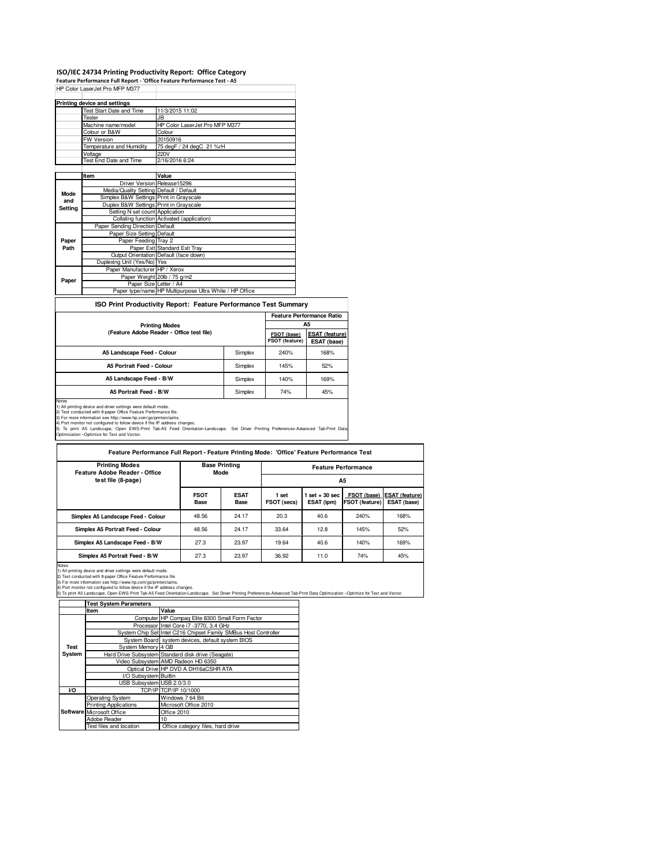#### **ISO/IEC 24734 Printing Productivity Report: Office Category**

**Feature Performance Full Report - 'Office Feature Performance Test - A5** HP Color LaserJet Pro MFP M377

| Printing device and settings            |                                                                                                                                                                                       |
|-----------------------------------------|---------------------------------------------------------------------------------------------------------------------------------------------------------------------------------------|
| Test Start Date and Time                | 11/3/2015 11:02                                                                                                                                                                       |
| Tester                                  | JB.                                                                                                                                                                                   |
| Machine name/model                      | HP Color LaserJet Pro MFP M377                                                                                                                                                        |
| Colour or B&W                           | Colour                                                                                                                                                                                |
| <b>FW Version</b>                       | 20150916                                                                                                                                                                              |
| Temperature and Humidity                | 75 degF / 24 degC 21 %rH                                                                                                                                                              |
| Voltage                                 | 220V                                                                                                                                                                                  |
| Test End Date and Time                  | 2/16/2016 6:24                                                                                                                                                                        |
|                                         |                                                                                                                                                                                       |
| Item                                    | Value                                                                                                                                                                                 |
| Driver Version Release15296             |                                                                                                                                                                                       |
| Media/Quality Setting Default / Default |                                                                                                                                                                                       |
|                                         |                                                                                                                                                                                       |
|                                         |                                                                                                                                                                                       |
|                                         |                                                                                                                                                                                       |
|                                         | Collating function Activated (application)                                                                                                                                            |
|                                         |                                                                                                                                                                                       |
|                                         |                                                                                                                                                                                       |
| Paper Feeding Tray 2                    |                                                                                                                                                                                       |
|                                         | Paper Exit Standard Exit Tray                                                                                                                                                         |
|                                         | Output Orientation Default (face down)                                                                                                                                                |
| Duplexing Unit (Yes/No) Yes             |                                                                                                                                                                                       |
| Paper Manufacturer HP / Xerox           |                                                                                                                                                                                       |
|                                         | Paper Weight 20lb / 75 g/m2                                                                                                                                                           |
| Paper Size Letter / A4                  |                                                                                                                                                                                       |
|                                         | Paper type/name HP Multipurpose Ultra White / HP Office                                                                                                                               |
|                                         | Simplex B&W Settings Print in Grayscale<br>Duplex B&W Settings Print in Grayscale<br>Setting N set count Application<br>Paper Sending Direction Default<br>Paper Size Setting Default |

#### **ISO Print Productivity Report: Feature Performance Test Summary**

|                                           |         | <b>Feature Performance Ratio</b> |                                      |  |
|-------------------------------------------|---------|----------------------------------|--------------------------------------|--|
| <b>Printing Modes</b>                     |         |                                  | А5                                   |  |
| (Feature Adobe Reader - Office test file) |         | FSOT (base)<br>FSOT (feature)    | <b>ESAT (feature)</b><br>ESAT (base) |  |
| A5 Landscape Feed - Colour                | Simplex | 240%                             | 168%                                 |  |
| A5 Portrait Feed - Colour                 | Simplex | 145%                             | 52%                                  |  |
| A5 Landscape Feed - B/W                   | Simplex | 140%                             | 169%                                 |  |
| A5 Portrait Feed - B/W                    | Simplex | 74%                              | 45%                                  |  |
| Notes                                     |         |                                  |                                      |  |

Note<br>2) Test conducted with 8-paper Office Feature Performance file.<br>2) Test conducted with 8-paper Office Feature Performance file.<br>3) For more information see thtp://www.thp.com/go/pinfrectialms.<br>4) Port monitor not conf

| Feature Performance Full Report - Feature Printing Mode: 'Office' Feature Performance Test |                     |                              |                      |                                 |                                      |                                      |  |  |
|--------------------------------------------------------------------------------------------|---------------------|------------------------------|----------------------|---------------------------------|--------------------------------------|--------------------------------------|--|--|
| <b>Printing Modes</b><br>Feature Adobe Reader - Office                                     |                     | <b>Base Printing</b><br>Mode |                      | <b>Feature Performance</b>      |                                      |                                      |  |  |
| test file (8-page)                                                                         |                     |                              | A <sub>5</sub>       |                                 |                                      |                                      |  |  |
|                                                                                            | <b>FSOT</b><br>Base | <b>ESAT</b><br>Base          | 1 set<br>FSOT (secs) | $1$ set $+30$ sec<br>ESAT (ipm) | FSOT (base)<br><b>FSOT (feature)</b> | <b>ESAT (feature)</b><br>ESAT (base) |  |  |
| Simplex A5 Landscape Feed - Colour                                                         | 48.56               | 24.17                        | 20.3                 | 40.6                            | 240%                                 | 168%                                 |  |  |
| Simplex A5 Portrait Feed - Colour                                                          | 48.56               | 24.17                        | 33.64                | 12.8                            | 145%                                 | 52%                                  |  |  |
| Simplex A5 Landscape Feed - B/W                                                            | 27.3                | 23.97                        | 19.64                | 40.6                            | 140%                                 | 169%                                 |  |  |
| Simplex A5 Portrait Feed - B/W                                                             | 27.3                | 23.97                        | 36.92                | 11.0                            | 74%                                  | 45%                                  |  |  |

Notes<br>2) Text conducted with 8-paper Office Feature Performance.<br>3) For more information see http://www.hp.com/go/printerclaims.<br>3) For more information see http://www.hp.com/go/printerclaims.<br>3) To print A5 Landscape, Ope

|             | <b>Test System Parameters</b>    |                                                                 |  |
|-------------|----------------------------------|-----------------------------------------------------------------|--|
|             | Item                             | Value                                                           |  |
|             |                                  | Computer HP Compag Elite 8300 Small Form Factor                 |  |
|             |                                  | Processor Intel Core i7 -3770, 3.4 GHz                          |  |
|             |                                  | System Chip Set Intel C216 Chipset Family SMBus Host Controller |  |
|             |                                  | System Board system devices, default system BIOS                |  |
| <b>Test</b> | System Memory 4 GB               |                                                                 |  |
| System      |                                  | Hard Drive Subsystem Standard disk drive (Seagate)              |  |
|             |                                  | Video Subsystem AMD Radeon HD 6350                              |  |
|             |                                  | Optical Drive HP DVD A DH16aCSHR ATA                            |  |
|             | I/O Subsystem Builtin            |                                                                 |  |
|             | USB Subsystem USB 2.0/3.0        |                                                                 |  |
| VO          |                                  | TCP/IP TCP/IP 10/1000                                           |  |
|             | <b>Operating System</b>          | Windows 7 64 Bit                                                |  |
|             | <b>Printing Applications</b>     | Microsoft Office 2010                                           |  |
|             | <b>Software</b> Microsoft Office | Office 2010                                                     |  |
|             | Adobe Reader                     | 10                                                              |  |
|             | Test files and location          | Office category files, hard drive                               |  |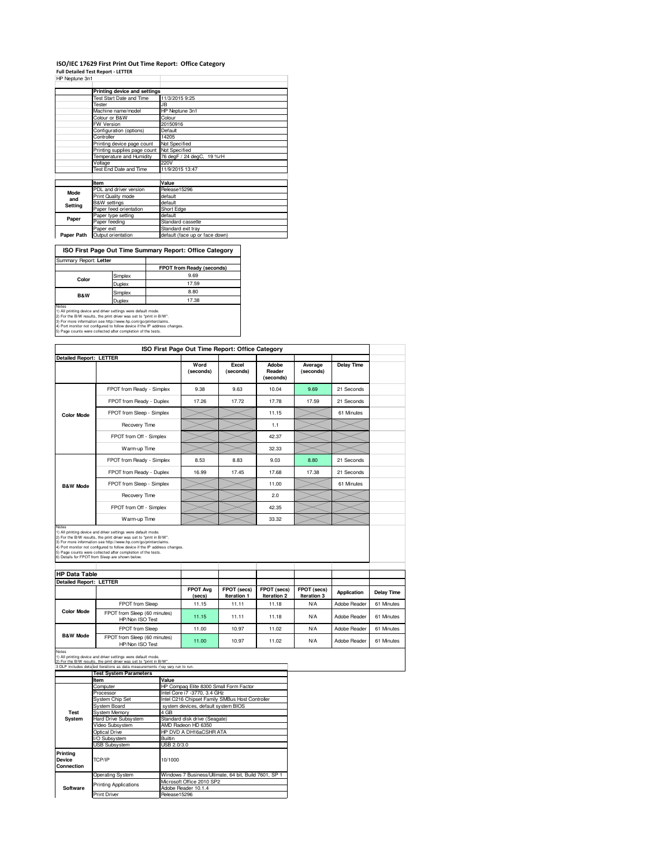## **ISO/IEC 17629 First Print Out Time Report: Office Category**

**Full Detailed Test Report - LETTER** HP Neptune 3n1

|             | Printing device and settings    |                                |  |  |  |
|-------------|---------------------------------|--------------------------------|--|--|--|
|             | <b>Test Start Date and Time</b> | 11/3/2015 9:25                 |  |  |  |
|             | Tester                          | .IB                            |  |  |  |
|             | Machine name/model              | HP Neptune 3n1                 |  |  |  |
|             | Colour or B&W                   | Colour                         |  |  |  |
|             | <b>FW Version</b>               | 20150916                       |  |  |  |
|             | Configuration (options)         | Default                        |  |  |  |
|             | Controller                      | 14205                          |  |  |  |
|             | Printing device page count      | Not Specified                  |  |  |  |
|             | Printing supplies page count    | <b>Not Specified</b>           |  |  |  |
|             | Temperature and Humidity        | 76 degF / 24 degC, 19 %rH      |  |  |  |
|             | Voltage                         | 220V                           |  |  |  |
|             | Test End Date and Time          | 11/9/2015 13:47                |  |  |  |
|             |                                 |                                |  |  |  |
|             | Item                            | Value                          |  |  |  |
| <b>Mode</b> | PDL and driver version          | Release15296                   |  |  |  |
| and         | Print Quality mode              | default                        |  |  |  |
| Setting     | <b>B&amp;W</b> settings         | default                        |  |  |  |
|             | Paper feed orientation          | Short Edge                     |  |  |  |
| Paper       | Paper type setting              | default                        |  |  |  |
|             | Paper feeding                   | Standard cassette              |  |  |  |
|             | Paper exit                      | Standard exit tray             |  |  |  |
| Paper Path  | Output orientation              | default (face up or face down) |  |  |  |

 $\overline{\phantom{a}}$ 

| ISO First Page Out Time Summary Report: Office Category |         |                           |  |  |
|---------------------------------------------------------|---------|---------------------------|--|--|
| Summary Report: Letter                                  |         |                           |  |  |
|                                                         |         | FPOT from Ready (seconds) |  |  |
| Color                                                   | Simplex | 9.69                      |  |  |
|                                                         | Duplex  | 17.59                     |  |  |
| <b>B&amp;W</b>                                          | Simplex | 8.80                      |  |  |
|                                                         | Dunloy  | 7.38                      |  |  |

Notes<br>
Notes<br>
17.38<br>
2) For the BM results, the print diver was set to "print the DV".<br>
2) For more information see http://www.hp.com/go/printencialms.<br>
4) For more information see http://www.hp.com/go/printencialms.<br>
4) P

|                                                        |                                                                                                                                                                                                                                                    |             | ISO First Page Out Time Report: Office Category |                                                 |                              |                      |                    |            |
|--------------------------------------------------------|----------------------------------------------------------------------------------------------------------------------------------------------------------------------------------------------------------------------------------------------------|-------------|-------------------------------------------------|-------------------------------------------------|------------------------------|----------------------|--------------------|------------|
| <b>Detailed Report: LETTER</b>                         |                                                                                                                                                                                                                                                    |             |                                                 |                                                 |                              |                      |                    |            |
|                                                        |                                                                                                                                                                                                                                                    |             | Word<br>(seconds)                               | Excel<br>(seconds)                              | Adobe<br>Reader<br>(seconds) | Average<br>(seconds) | <b>Delay Time</b>  |            |
|                                                        | FPOT from Ready - Simplex                                                                                                                                                                                                                          |             | 9.38                                            | 9.63                                            | 10.04                        | 9.69                 | 21 Seconds         |            |
|                                                        | FPOT from Ready - Duplex                                                                                                                                                                                                                           |             | 17.26                                           | 17.72                                           | 17.78                        | 17.59                | 21 Seconds         |            |
| <b>Color Mode</b>                                      | FPOT from Sleep - Simplex                                                                                                                                                                                                                          |             |                                                 |                                                 | 11.15                        |                      | 61 Minutes         |            |
|                                                        | Recovery Time                                                                                                                                                                                                                                      |             |                                                 |                                                 | 1.1                          |                      |                    |            |
|                                                        | FPOT from Off - Simplex                                                                                                                                                                                                                            |             |                                                 |                                                 | 42.37                        |                      |                    |            |
|                                                        | Warm-up Time                                                                                                                                                                                                                                       |             |                                                 |                                                 | 32.33                        |                      |                    |            |
|                                                        | FPOT from Ready - Simplex                                                                                                                                                                                                                          |             | 8.53                                            | 8.83                                            | 9.03                         | 8.80                 | 21 Seconds         |            |
|                                                        | FPOT from Ready - Duplex                                                                                                                                                                                                                           |             | 16.99                                           | 17.45                                           | 17.68                        | 17.38                | 21 Seconds         |            |
| <b>B&amp;W Mode</b>                                    | FPOT from Sleep - Simplex                                                                                                                                                                                                                          |             |                                                 |                                                 | 11.00                        |                      | 61 Minutes         |            |
|                                                        | Recovery Time                                                                                                                                                                                                                                      |             |                                                 |                                                 | 2.0                          |                      |                    |            |
|                                                        | FPOT from Off - Simplex                                                                                                                                                                                                                            |             |                                                 |                                                 | 42.35                        |                      |                    |            |
|                                                        | Warm-up Time                                                                                                                                                                                                                                       |             |                                                 |                                                 | 33.32                        |                      |                    |            |
| <b>HP Data Table</b><br><b>Detailed Report: LETTER</b> |                                                                                                                                                                                                                                                    |             |                                                 |                                                 |                              |                      |                    |            |
|                                                        |                                                                                                                                                                                                                                                    |             | <b>FPOT Avg</b>                                 | FPOT (secs)                                     | FPOT (secs)                  | FPOT (secs)          |                    |            |
|                                                        |                                                                                                                                                                                                                                                    |             | (secs)                                          | Iteration 1                                     | Iteration 2                  | Iteration 3          | <b>Application</b> | Delay Time |
|                                                        | FPOT from Sleep                                                                                                                                                                                                                                    |             | 11.15                                           | 11.11                                           | 11.18                        | <b>N/A</b>           | Adobe Reader       | 61 Minutes |
| <b>Color Mode</b>                                      | FPOT from Sleep (60 minutes)<br>HP/Non ISO Test                                                                                                                                                                                                    |             | 11.15                                           | 11.11                                           | 11.18                        | <b>N/A</b>           | Adobe Reader       | 61 Minutes |
|                                                        | FPOT from Sleep                                                                                                                                                                                                                                    |             | 11.00                                           | 10.97                                           | 11.02                        | <b>N/A</b>           | Adobe Reader       | 61 Minutes |
| <b>B&amp;W Mode</b>                                    | FPOT from Sleep (60 minutes)<br>HP/Non ISO Test                                                                                                                                                                                                    |             | 11.00                                           | 10.97                                           | 11.02                        | <b>N/A</b>           | Adobe Reader       | 61 Minutes |
| Notes                                                  |                                                                                                                                                                                                                                                    |             |                                                 |                                                 |                              |                      |                    |            |
|                                                        | 1) All printing device and driver settings were default mode.<br>" For the B/W results the print driver was set to "print in B/W"<br>3 DLP includes detailed iterations as data measurements may vary run to run.<br><b>Test System Parameters</b> |             |                                                 |                                                 |                              |                      |                    |            |
|                                                        | ltem                                                                                                                                                                                                                                               | Value       |                                                 |                                                 |                              |                      |                    |            |
|                                                        | Computer<br>Processor                                                                                                                                                                                                                              |             | Intel Core i7 -3770, 3.4 GHz                    | HP Compaq Elite 8300 Small Form Factor          |                              |                      |                    |            |
|                                                        | System Chip Set                                                                                                                                                                                                                                    |             |                                                 | Intel C216 Chipset Family SMBus Host Controller |                              |                      |                    |            |
|                                                        | <b>System Board</b>                                                                                                                                                                                                                                |             | system devices, default system BIOS             |                                                 |                              |                      |                    |            |
| Test                                                   | System Memory                                                                                                                                                                                                                                      | 4 GB        |                                                 |                                                 |                              |                      |                    |            |
| System                                                 | Hard Drive Subsystem                                                                                                                                                                                                                               |             | Standard disk drive (Seagate)                   |                                                 |                              |                      |                    |            |
|                                                        | Video Subsystem                                                                                                                                                                                                                                    |             | AMD Radeon HD 6350                              |                                                 |                              |                      |                    |            |
|                                                        | <b>Optical Drive</b>                                                                                                                                                                                                                               |             | HP DVD A DH16aCSHR ATA                          |                                                 |                              |                      |                    |            |
|                                                        | I/O Subsystem                                                                                                                                                                                                                                      | Builtin     |                                                 |                                                 |                              |                      |                    |            |
|                                                        | <b>USB Subsystem</b>                                                                                                                                                                                                                               | USB 2.0/3.0 |                                                 |                                                 |                              |                      |                    |            |

Operating System Windows 7 Business/Ultimate, 64 bit, Build 7601, SP 1 Microsoft Office 2010 SP2 Adobe Reader 10.1.4 Print Driver Release 15296 **Software** Printing Applications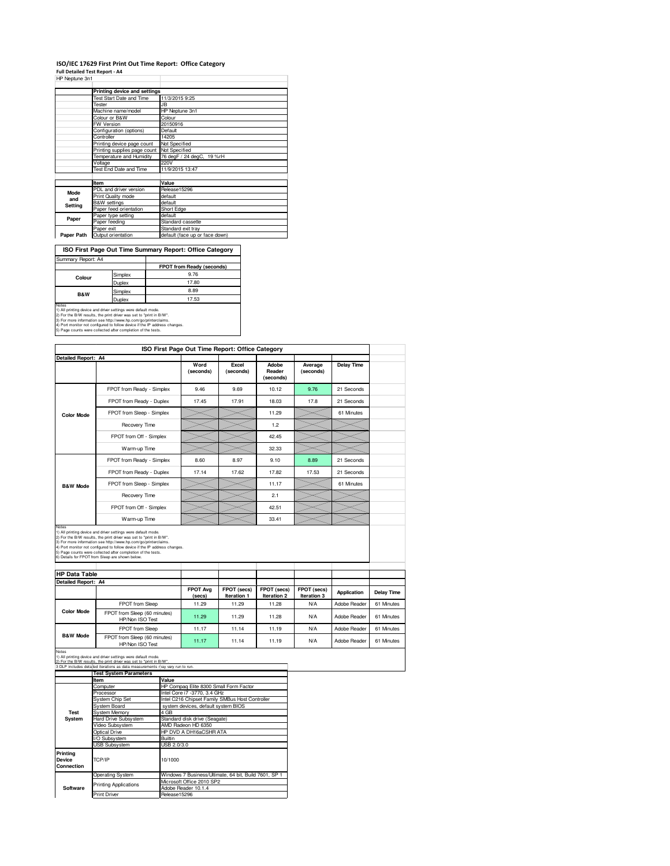## **ISO/IEC 17629 First Print Out Time Report: Office Category**

**Full Detailed Test Report - A4** HP Neptune 3n1

| ווויש טוושט טאיו ווו |                                 |                                |  |  |
|----------------------|---------------------------------|--------------------------------|--|--|
|                      | Printing device and settings    |                                |  |  |
|                      | <b>Test Start Date and Time</b> | 11/3/2015 9:25                 |  |  |
|                      | <b>Tester</b>                   | JB                             |  |  |
|                      | Machine name/model              | HP Neptune 3n1                 |  |  |
|                      | Colour or B&W                   | Colour                         |  |  |
|                      | <b>FW Version</b>               | 20150916                       |  |  |
|                      | Configuration (options)         | Default                        |  |  |
|                      | Controller                      | 14205                          |  |  |
|                      | Printing device page count      | Not Specified                  |  |  |
|                      | Printing supplies page count    | Not Specified                  |  |  |
|                      | Temperature and Humidity        | 76 degF / 24 degC, 19 %rH      |  |  |
|                      | Voltage                         | 220V                           |  |  |
|                      | Test End Date and Time          | 11/9/2015 13:47                |  |  |
|                      |                                 |                                |  |  |
|                      | Item                            | Value                          |  |  |
| <b>Mode</b>          | PDL and driver version          | Release15296                   |  |  |
| and                  | Print Quality mode              | default                        |  |  |
| Setting              | <b>B&amp;W</b> settings         | default                        |  |  |
|                      | Paper feed orientation          | Short Edge                     |  |  |
| Paper                | Paper type setting              | default                        |  |  |
|                      | Paper feeding                   | Standard cassette              |  |  |
|                      | Paper exit                      | Standard exit tray             |  |  |
| Paper Path           | Output orientation              | default (face up or face down) |  |  |

**FPOT from Ready (seconds)**<br>9.76 Simplex 9.76<br>Duplex 17.80 **ISO First Page Out Time Summary Report: Office Category** Summary Report: A **Colour**

Simplex 8.89<br>Duplex 17.53 Notes<br>
Notes<br>
17.53<br>
2) For the BM results, the print diver was set to "print the DV".<br>
2) For more information see http://www.hp.com/go/printenclaims.<br>
4) For more information see http://www.hp.com/go/printenclaims.<br>
4) P **B&W**

|                            |                                                                                                                                                   |             | ISO First Page Out Time Report: Office Category                                 |                            |                              |                            |                    |                   |
|----------------------------|---------------------------------------------------------------------------------------------------------------------------------------------------|-------------|---------------------------------------------------------------------------------|----------------------------|------------------------------|----------------------------|--------------------|-------------------|
| <b>Detailed Report: A4</b> |                                                                                                                                                   |             |                                                                                 |                            |                              |                            |                    |                   |
|                            |                                                                                                                                                   |             | Word<br>(seconds)                                                               | Excel<br>(seconds)         | Adobe<br>Reader<br>(seconds) | Average<br>(seconds)       | <b>Delay Time</b>  |                   |
|                            | FPOT from Ready - Simplex                                                                                                                         |             | 9.46                                                                            | 9.69                       | 10.12                        | 9.76                       | 21 Seconds         |                   |
|                            | FPOT from Ready - Duplex                                                                                                                          |             | 17.45                                                                           | 17.91                      | 18.03                        | 17.8                       | 21 Seconds         |                   |
| <b>Color Mode</b>          | FPOT from Sleep - Simplex                                                                                                                         |             |                                                                                 |                            | 11.29                        |                            | 61 Minutes         |                   |
|                            | Recovery Time                                                                                                                                     |             |                                                                                 |                            | 1.2                          |                            |                    |                   |
|                            | FPOT from Off - Simplex                                                                                                                           |             |                                                                                 |                            | 42.45                        |                            |                    |                   |
|                            | Warm-up Time                                                                                                                                      |             |                                                                                 |                            | 32.33                        |                            |                    |                   |
|                            | FPOT from Ready - Simplex                                                                                                                         |             | 8.60                                                                            | 8.97                       | 9.10                         | 8.89                       | 21 Seconds         |                   |
|                            | FPOT from Ready - Duplex                                                                                                                          |             | 17.14                                                                           | 17.62                      | 17.82                        | 17.53                      | 21 Seconds         |                   |
| <b>B&amp;W Mode</b>        | FPOT from Sleep - Simplex                                                                                                                         |             |                                                                                 |                            | 11.17                        |                            | 61 Minutes         |                   |
|                            | Recovery Time                                                                                                                                     |             |                                                                                 |                            | 2.1                          |                            |                    |                   |
|                            | FPOT from Off - Simplex                                                                                                                           |             |                                                                                 |                            | 42.51                        |                            |                    |                   |
|                            | Warm-up Time                                                                                                                                      |             |                                                                                 |                            | 33.41                        |                            |                    |                   |
| <b>HP Data Table</b>       | 6) Details for FPOT from Sleep are shown below.                                                                                                   |             |                                                                                 |                            |                              |                            |                    |                   |
| Detailed Report: A4        |                                                                                                                                                   |             |                                                                                 |                            |                              |                            |                    |                   |
|                            |                                                                                                                                                   |             | <b>FPOT Avg</b><br>(secs)                                                       | FPOT (secs)<br>Iteration 1 | FPOT (secs)<br>Iteration 2   | FPOT (secs)<br>Iteration 3 | <b>Application</b> | <b>Delay Time</b> |
|                            | FPOT from Sleep                                                                                                                                   |             | 11.29                                                                           | 11.29                      | 11.28                        | <b>N/A</b>                 | Adobe Reader       | 61 Minutes        |
| <b>Color Mode</b>          | FPOT from Sleep (60 minutes)<br>HP/Non ISO Test                                                                                                   |             | 11.29                                                                           | 11.29                      | 11.28                        | <b>N/A</b>                 | Adobe Reader       | 61 Minutes        |
|                            | FPOT from Sleep                                                                                                                                   |             | 11.17                                                                           | 11.14                      | 11.19                        | <b>N/A</b>                 | Adobe Reader       | 61 Minutes        |
| <b>B&amp;W Mode</b>        | FPOT from Sleep (60 minutes)<br>HP/Non ISO Test                                                                                                   |             | 11.17                                                                           | 11.14                      | 11.19                        | <b>N/A</b>                 | Adobe Reader       | 61 Minutes        |
| Notes                      | 1) All printing device and driver settings were default mode.                                                                                     |             |                                                                                 |                            |                              |                            |                    |                   |
|                            | 2) For the R/W results the print driver was set to "print in R/W"<br>3 DLP includes detailed iterations as data measurements may vary run to run. |             |                                                                                 |                            |                              |                            |                    |                   |
|                            | <b>Test System Parameters</b>                                                                                                                     |             |                                                                                 |                            |                              |                            |                    |                   |
|                            | Item                                                                                                                                              | Value       |                                                                                 |                            |                              |                            |                    |                   |
|                            | Computer                                                                                                                                          |             | HP Compaq Elite 8300 Small Form Factor                                          |                            |                              |                            |                    |                   |
|                            | Processor<br>System Chip Set                                                                                                                      |             | Intel Core i7 -3770, 3.4 GHz<br>Intel C216 Chipset Family SMBus Host Controller |                            |                              |                            |                    |                   |
|                            | <b>System Board</b>                                                                                                                               |             | system devices, default system BIOS                                             |                            |                              |                            |                    |                   |
| <b>Test</b>                | System Memory                                                                                                                                     | 4 GB        |                                                                                 |                            |                              |                            |                    |                   |
| System                     | Hard Drive Subsystem                                                                                                                              |             | Standard disk drive (Seagate)                                                   |                            |                              |                            |                    |                   |
|                            | Video Subsystem                                                                                                                                   |             | AMD Radeon HD 6350                                                              |                            |                              |                            |                    |                   |
|                            | <b>Optical Drive</b>                                                                                                                              |             | HP DVD A DH16aCSHR ATA                                                          |                            |                              |                            |                    |                   |
|                            | I/O Subsystem                                                                                                                                     | Builtin     |                                                                                 |                            |                              |                            |                    |                   |
|                            | <b>USB Subsystem</b>                                                                                                                              | USB 2.0/3.0 |                                                                                 |                            |                              |                            |                    |                   |
| Printing<br>Device         | TCP/IP                                                                                                                                            | 10/1000     |                                                                                 |                            |                              |                            |                    |                   |

Operating System Windows 7 Business/Ultimate, 64 bit, Build 7601, SP 1 Microsoft Office 2010 SP2 dobe Reader 10.1.4

Print Driver Release15296

Printing Applications

**Software**

**Connection**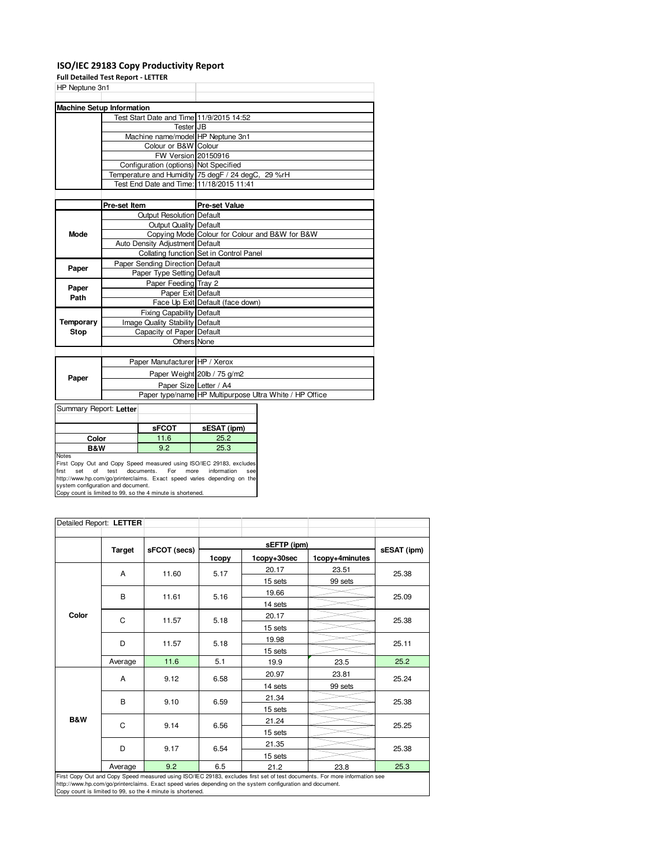## **ISO/IEC 29183 Copy Productivity Report**

ر<br>Full Detailed Test Rep

| Fuil Detailed Test Report - LETTER       |                                                         |
|------------------------------------------|---------------------------------------------------------|
| HP Neptune 3n1                           |                                                         |
|                                          |                                                         |
| <b>Machine Setup Information</b>         |                                                         |
| Test Start Date and Time 11/9/2015 14:52 |                                                         |
| Tester JB                                |                                                         |
| Machine name/model HP Neptune 3n1        |                                                         |
| Colour or B&W Colour                     |                                                         |
| FW Version 20150916                      |                                                         |
| Configuration (options) Not Specified    |                                                         |
|                                          | Temperature and Humidity 75 degF / 24 degC, 29 %rH      |
|                                          |                                                         |
|                                          |                                                         |
| Pre-set Item                             | <b>Pre-set Value</b>                                    |
| <b>Output Resolution Default</b>         |                                                         |
| <b>Output Quality Default</b>            |                                                         |
|                                          | Copying Mode Colour for Colour and B&W for B&W          |
| Auto Density Adjustment Default          |                                                         |
|                                          | Collating function Set in Control Panel                 |
| Paper Sending Direction Default          |                                                         |
| Paper Type Setting Default               |                                                         |
| Paper Feeding Tray 2                     |                                                         |
| Paper Exit Default                       |                                                         |
|                                          | Face Up Exit Default (face down)                        |
| <b>Fixing Capability Default</b>         |                                                         |
| Image Quality Stability Default          |                                                         |
| Capacity of Paper Default                |                                                         |
| Others None                              |                                                         |
|                                          |                                                         |
| Paper Manufacturer HP / Xerox            |                                                         |
|                                          | Paper Weight 20lb / 75 g/m2                             |
| Paper Size Letter / A4                   |                                                         |
|                                          | Paper type/name HP Multipurpose Ultra White / HP Office |
|                                          | Test End Date and Time: 11/18/2015 11:41                |

Summary Report: **Letter**

|                                                                              | <b>SFCOT</b> | sESAT (ipm) |  |  |
|------------------------------------------------------------------------------|--------------|-------------|--|--|
| Color                                                                        | 11.6         | 25.2        |  |  |
| B&W                                                                          | 9.2          | 25.3        |  |  |
| Notes<br>First Copy Out and Copy Speed measured using ISO/IEC 29183, exclude |              |             |  |  |

First Copy Out and Copy Speed measured using ISO/IEC 29183, excludes<br>first set of test documents. For more information see<br>http://www.hp.com/go/printerclaims. Exact speed varies depending on the<br>system configuration and do

|                | Detailed Report: LETTER |                                                            |       |                                                                                                            |                                                                                                                            |             |
|----------------|-------------------------|------------------------------------------------------------|-------|------------------------------------------------------------------------------------------------------------|----------------------------------------------------------------------------------------------------------------------------|-------------|
|                | <b>Target</b>           | sFCOT (secs)                                               |       | sEFTP (ipm)                                                                                                |                                                                                                                            |             |
|                |                         |                                                            | 1copy | 1copy+30sec                                                                                                | 1copy+4minutes                                                                                                             | sESAT (ipm) |
|                | A                       | 11.60                                                      | 5.17  | 20.17                                                                                                      | 23.51                                                                                                                      | 25.38       |
|                |                         |                                                            |       | 15 sets                                                                                                    | 99 sets                                                                                                                    |             |
|                | в                       | 11.61                                                      | 5.16  | 19.66                                                                                                      |                                                                                                                            | 25.09       |
|                |                         |                                                            |       | 14 sets                                                                                                    |                                                                                                                            |             |
| Color          | C                       | 11.57                                                      | 5.18  | 20.17                                                                                                      |                                                                                                                            | 25.38       |
|                |                         |                                                            |       | 15 sets                                                                                                    |                                                                                                                            |             |
|                | D                       | 11.57                                                      | 5.18  | 19.98                                                                                                      |                                                                                                                            | 25.11       |
|                |                         |                                                            |       | 15 sets                                                                                                    |                                                                                                                            |             |
|                | Average                 | 11.6                                                       | 5.1   | 19.9                                                                                                       | 23.5                                                                                                                       | 25.2        |
|                | А                       | 9.12                                                       | 6.58  | 20.97                                                                                                      | 23.81                                                                                                                      | 25.24       |
|                |                         |                                                            |       | 14 sets                                                                                                    | 99 sets                                                                                                                    |             |
|                | в                       | 9.10                                                       | 6.59  | 21.34                                                                                                      |                                                                                                                            | 25.38       |
|                |                         |                                                            |       | 15 sets                                                                                                    |                                                                                                                            |             |
| <b>B&amp;W</b> | C                       | 9.14                                                       | 6.56  | 21.24                                                                                                      |                                                                                                                            | 25.25       |
|                |                         |                                                            |       | 15 sets                                                                                                    |                                                                                                                            |             |
|                | D                       | 9.17                                                       | 6.54  | 21.35                                                                                                      |                                                                                                                            | 25.38       |
|                |                         |                                                            |       | 15 sets                                                                                                    |                                                                                                                            |             |
|                | Average                 | 9.2                                                        | 6.5   | 21.2                                                                                                       | 23.8                                                                                                                       | 25.3        |
|                |                         | Copy count is limited to 99, so the 4 minute is shortened. |       | http://www.hp.com/qo/printerclaims. Exact speed varies depending on the system configuration and document. | First Copy Out and Copy Speed measured using ISO/IEC 29183, excludes first set of test documents. For more information see |             |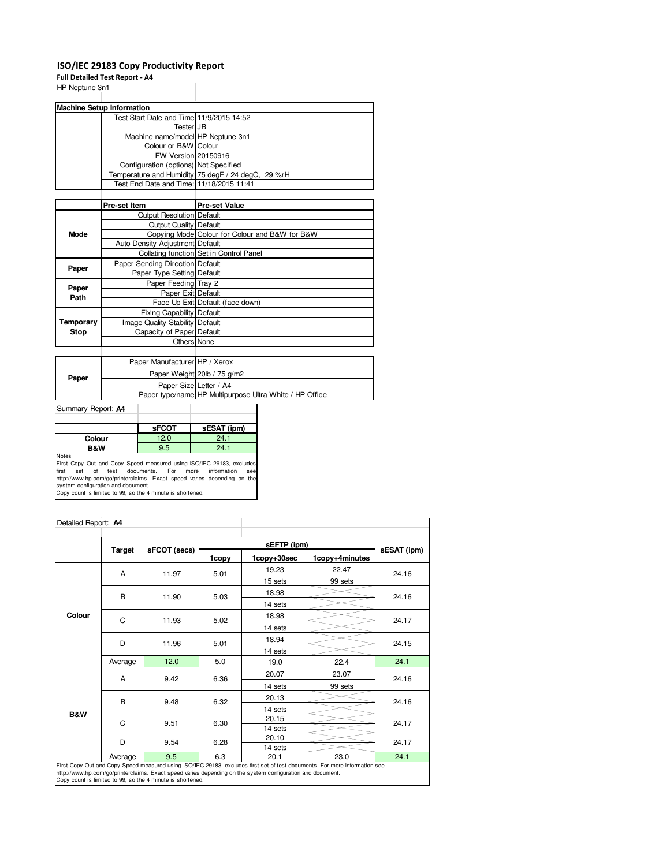#### **ISO/IEC 29183 Copy Productivity Report**

### **Full Detailed Test Report - A4**

| <b>LAIL NETGHER TEST DENNIT. WA</b>      |                                                         |
|------------------------------------------|---------------------------------------------------------|
| HP Neptune 3n1                           |                                                         |
|                                          |                                                         |
| <b>Machine Setup Information</b>         |                                                         |
| Test Start Date and Time 11/9/2015 14:52 |                                                         |
| Tester JB                                |                                                         |
| Machine name/model HP Neptune 3n1        |                                                         |
| Colour or B&W Colour                     |                                                         |
| FW Version 20150916                      |                                                         |
| Configuration (options) Not Specified    |                                                         |
|                                          | Temperature and Humidity 75 degF / 24 degC, 29 %rH      |
| Test End Date and Time: 11/18/2015 11:41 |                                                         |
|                                          |                                                         |
| Pre-set Item                             | <b>Pre-set Value</b>                                    |
| <b>Output Resolution Default</b>         |                                                         |
| <b>Output Quality Default</b>            |                                                         |
|                                          | Copying Mode Colour for Colour and B&W for B&W          |
| Auto Density Adjustment Default          |                                                         |
|                                          | Collating function Set in Control Panel                 |
| Paper Sending Direction Default          |                                                         |
| Paper Type Setting Default               |                                                         |
| Paper Feeding Tray 2                     |                                                         |
| Paper Exit Default                       |                                                         |
|                                          | Face Up Exit Default (face down)                        |
| Fixing Capability Default                |                                                         |
| Image Quality Stability Default          |                                                         |
|                                          |                                                         |
| <b>Others</b> None                       |                                                         |
|                                          |                                                         |
| Paper Manufacturer HP / Xerox            |                                                         |
|                                          | Paper Weight 20lb / 75 g/m2                             |
| Paper Size Letter / A4                   |                                                         |
|                                          | Paper type/name HP Multipurpose Ultra White / HP Office |
|                                          | Capacity of Paper Default                               |

### Summary Report: **A4**

|                                                                                      | <b>sFCOT</b> | sESAT (ipm) |  |  |
|--------------------------------------------------------------------------------------|--------------|-------------|--|--|
| 12.0<br>24.1<br>Colour                                                               |              |             |  |  |
| 9.5<br>24.1<br><b>B&amp;W</b>                                                        |              |             |  |  |
| <b>Notes</b><br>First Copy Out and Copy Speed measured using ISO/IEC 29183, excludes |              |             |  |  |

×.

First Copy Out and Copy Speed measured using ISO/IEC 29183, excludes<br>first set of test documents. For more information see<br>http://www.hp.com/go/printerclaims. Exact speed varies depending on the<br>system configuration and do

| Detailed Report: A4                                        |               |              |       |                                                                                                            |                                                                                                                            |             |
|------------------------------------------------------------|---------------|--------------|-------|------------------------------------------------------------------------------------------------------------|----------------------------------------------------------------------------------------------------------------------------|-------------|
|                                                            |               |              |       | sEFTP (ipm)                                                                                                |                                                                                                                            |             |
|                                                            | <b>Target</b> | sFCOT (secs) | 1copy | 1copy+30sec                                                                                                | 1copy+4minutes                                                                                                             | sESAT (ipm) |
|                                                            | A             | 11.97        | 5.01  | 19.23                                                                                                      | 22.47                                                                                                                      | 24.16       |
|                                                            |               |              |       | 15 sets                                                                                                    | 99 sets                                                                                                                    |             |
|                                                            | B             | 11.90        | 5.03  | 18.98                                                                                                      |                                                                                                                            | 24.16       |
|                                                            |               |              |       | 14 sets                                                                                                    |                                                                                                                            |             |
| Colour                                                     | C             | 11.93        | 5.02  | 18.98                                                                                                      |                                                                                                                            |             |
|                                                            |               |              |       | 14 sets                                                                                                    |                                                                                                                            | 24.17       |
|                                                            |               | 11.96        | 5.01  | 18.94                                                                                                      |                                                                                                                            | 24.15       |
|                                                            | D             |              |       | 14 sets                                                                                                    |                                                                                                                            |             |
|                                                            | Average       | 12.0         | 5.0   | 19.0                                                                                                       | 22.4                                                                                                                       | 24.1        |
|                                                            | A             | 9.42         | 6.36  | 20.07                                                                                                      | 23.07                                                                                                                      | 24.16       |
|                                                            |               |              |       | 14 sets                                                                                                    | 99 sets                                                                                                                    |             |
|                                                            | B             | 9.48         | 6.32  | 20.13                                                                                                      |                                                                                                                            | 24.16       |
|                                                            |               |              |       | 14 sets                                                                                                    |                                                                                                                            |             |
| <b>B&amp;W</b>                                             | C             | 9.51         | 6.30  | 20.15                                                                                                      |                                                                                                                            | 24.17       |
|                                                            |               |              |       | 14 sets                                                                                                    |                                                                                                                            |             |
|                                                            | D             | 9.54         | 6.28  | 20.10                                                                                                      |                                                                                                                            | 24.17       |
|                                                            | Average       | 9.5          | 6.3   | 14 sets<br>20.1                                                                                            | 23.0                                                                                                                       | 24.1        |
|                                                            |               |              |       |                                                                                                            | First Copy Out and Copy Speed measured using ISO/IEC 29183, excludes first set of test documents. For more information see |             |
|                                                            |               |              |       | http://www.hp.com/qo/printerclaims. Exact speed varies depending on the system configuration and document. |                                                                                                                            |             |
| Copy count is limited to 99, so the 4 minute is shortened. |               |              |       |                                                                                                            |                                                                                                                            |             |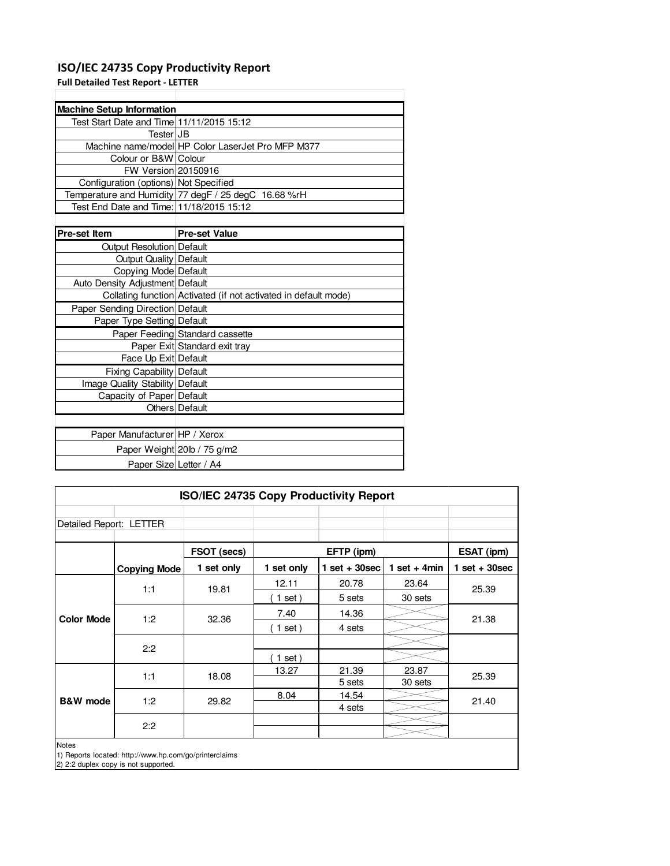## **ISO/IEC 24735 Copy Productivity Report**

**Full Detailed Test Report - LETTER**

| <b>Machine Setup Information</b>          |                                                                 |
|-------------------------------------------|-----------------------------------------------------------------|
| Test Start Date and Time 11/11/2015 15:12 |                                                                 |
| TesterIJB                                 |                                                                 |
|                                           | Machine name/model HP Color LaserJet Pro MFP M377               |
| Colour or B&W Colour                      |                                                                 |
| FW Version 20150916                       |                                                                 |
| Configuration (options) Not Specified     |                                                                 |
|                                           | Temperature and Humidity 77 degF / 25 degC 16.68 %rH            |
| Test End Date and Time: 11/18/2015 15:12  |                                                                 |
|                                           |                                                                 |
| <b>Pre-set Item</b>                       | <b>Pre-set Value</b>                                            |
| Output Resolution Default                 |                                                                 |
| <b>Output Quality   Default</b>           |                                                                 |
| Copying Mode Default                      |                                                                 |
| Auto Density Adjustment Default           |                                                                 |
|                                           | Collating function Activated (if not activated in default mode) |
| Paper Sending Direction Default           |                                                                 |
| Paper Type Setting Default                |                                                                 |
|                                           | Paper Feeding Standard cassette                                 |
|                                           | Paper Exit Standard exit tray                                   |
| Face Up Exit Default                      |                                                                 |
| Fixing Capability   Default               |                                                                 |
| Image Quality Stability Default           |                                                                 |
| Capacity of Paper Default                 |                                                                 |
|                                           | Others Default                                                  |
|                                           |                                                                 |
| Paper Manufacturer HP / Xerox             |                                                                 |
|                                           | Paper Weight 20lb / 75 g/m2                                     |
| Paper Size Letter / A4                    |                                                                 |

| ISO/IEC 24735 Copy Productivity Report |                                                                                                |             |            |                 |                 |                 |       |
|----------------------------------------|------------------------------------------------------------------------------------------------|-------------|------------|-----------------|-----------------|-----------------|-------|
| Detailed Report: LETTER                |                                                                                                |             |            |                 |                 |                 |       |
|                                        |                                                                                                | FSOT (secs) |            | EFTP (ipm)      |                 | ESAT (ipm)      |       |
|                                        | <b>Copying Mode</b>                                                                            | 1 set only  | 1 set only | $1$ set + 30sec | 1 set + 4 $min$ | $1$ set + 30sec |       |
|                                        | 1:1                                                                                            | 19.81       | 12.11      | 20.78           | 23.64           | 25.39           |       |
|                                        |                                                                                                |             | $1$ set)   | 5 sets          | 30 sets         |                 |       |
|                                        | 1:2                                                                                            | 32.36       | 7.40       | 14.36           |                 | 21.38           |       |
| <b>Color Mode</b>                      |                                                                                                |             | $1$ set)   | 4 sets          |                 |                 |       |
|                                        | 2:2                                                                                            |             |            |                 |                 |                 |       |
|                                        |                                                                                                |             | 1 set)     |                 |                 |                 |       |
|                                        | 1:1                                                                                            |             | 18.08      | 13.27           | 21.39           | 23.87           | 25.39 |
|                                        |                                                                                                |             |            | 5 sets          | 30 sets         |                 |       |
| <b>B&amp;W</b> mode                    | 1:2                                                                                            | 29.82       | 8.04       | 14.54           |                 | 21.40           |       |
|                                        |                                                                                                |             |            | 4 sets          |                 |                 |       |
|                                        | 2:2                                                                                            |             |            |                 |                 |                 |       |
| <b>Notes</b>                           | 1) Reports located: http://www.hp.com/go/printerclaims<br>2) 2:2 duplex copy is not supported. |             |            |                 |                 |                 |       |